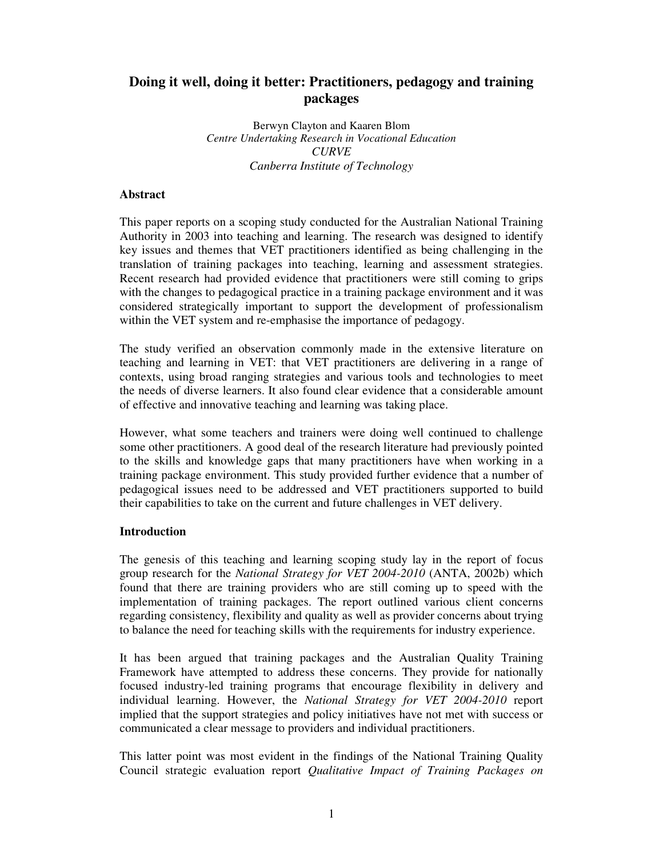# **Doing it well, doing it better: Practitioners, pedagogy and training packages**

Berwyn Clayton and Kaaren Blom *Centre Undertaking Research in Vocational Education CURVE Canberra Institute of Technology*

#### **Abstract**

This paper reports on a scoping study conducted for the Australian National Training Authority in 2003 into teaching and learning. The research was designed to identify key issues and themes that VET practitioners identified as being challenging in the translation of training packages into teaching, learning and assessment strategies. Recent research had provided evidence that practitioners were still coming to grips with the changes to pedagogical practice in a training package environment and it was considered strategically important to support the development of professionalism within the VET system and re-emphasise the importance of pedagogy.

The study verified an observation commonly made in the extensive literature on teaching and learning in VET: that VET practitioners are delivering in a range of contexts, using broad ranging strategies and various tools and technologies to meet the needs of diverse learners. It also found clear evidence that a considerable amount of effective and innovative teaching and learning was taking place.

However, what some teachers and trainers were doing well continued to challenge some other practitioners. A good deal of the research literature had previously pointed to the skills and knowledge gaps that many practitioners have when working in a training package environment. This study provided further evidence that a number of pedagogical issues need to be addressed and VET practitioners supported to build their capabilities to take on the current and future challenges in VET delivery.

# **Introduction**

The genesis of this teaching and learning scoping study lay in the report of focus group research for the *National Strategy for VET 2004-2010* (ANTA, 2002b) which found that there are training providers who are still coming up to speed with the implementation of training packages. The report outlined various client concerns regarding consistency, flexibility and quality as well as provider concerns about trying to balance the need for teaching skills with the requirements for industry experience.

It has been argued that training packages and the Australian Quality Training Framework have attempted to address these concerns. They provide for nationally focused industry-led training programs that encourage flexibility in delivery and individual learning. However, the *National Strategy for VET 2004-2010* report implied that the support strategies and policy initiatives have not met with success or communicated a clear message to providers and individual practitioners.

This latter point was most evident in the findings of the National Training Quality Council strategic evaluation report *Qualitative Impact of Training Packages on*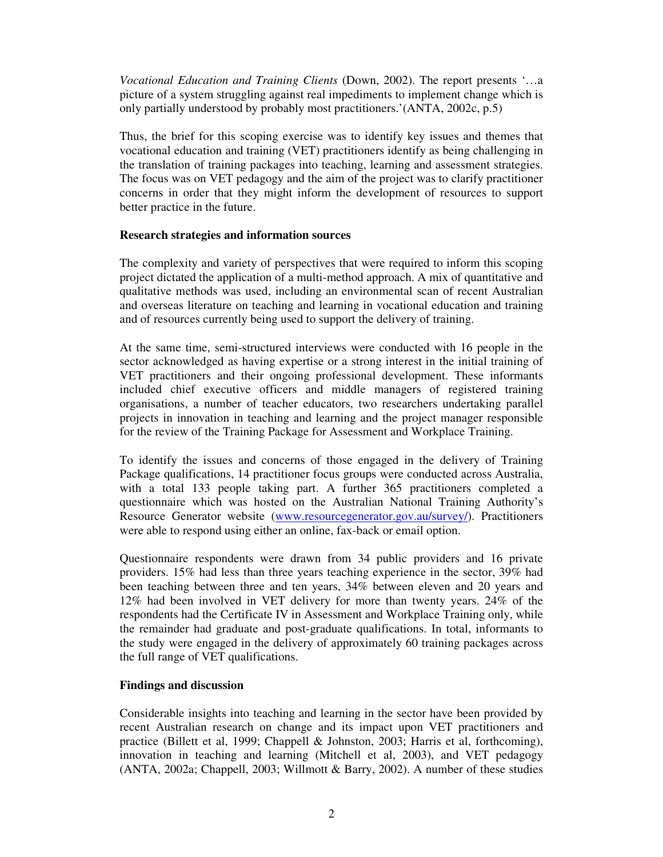*Vocational Education and Training Clients* (Down, 2002). The report presents '…a picture of a system struggling against real impediments to implement change which is only partially understood by probably most practitioners.'(ANTA, 2002c, p.5)

Thus, the brief for this scoping exercise was to identify key issues and themes that vocational education and training (VET) practitioners identify as being challenging in the translation of training packages into teaching, learning and assessment strategies. The focus was on VET pedagogy and the aim of the project was to clarify practitioner concerns in order that they might inform the development of resources to support better practice in the future.

#### **Research strategies and information sources**

The complexity and variety of perspectives that were required to inform this scoping project dictated the application of a multi-method approach. A mix of quantitative and qualitative methods was used, including an environmental scan of recent Australian and overseas literature on teaching and learning in vocational education and training and of resources currently being used to support the delivery of training.

At the same time, semi-structured interviews were conducted with 16 people in the sector acknowledged as having expertise or a strong interest in the initial training of VET practitioners and their ongoing professional development. These informants included chief executive officers and middle managers of registered training organisations, a number of teacher educators, two researchers undertaking parallel projects in innovation in teaching and learning and the project manager responsible for the review of the Training Package for Assessment and Workplace Training.

To identify the issues and concerns of those engaged in the delivery of Training Package qualifications, 14 practitioner focus groups were conducted across Australia, with a total 133 people taking part. A further 365 practitioners completed a questionnaire which was hosted on the Australian National Training Authority's Resource Generator website (www.resourcegenerator.gov.au/survey/). Practitioners were able to respond using either an online, fax-back or email option.

Questionnaire respondents were drawn from 34 public providers and 16 private providers. 15% had less than three years teaching experience in the sector, 39% had been teaching between three and ten years, 34% between eleven and 20 years and 12% had been involved in VET delivery for more than twenty years. 24% of the respondents had the Certificate IV in Assessment and Workplace Training only, while the remainder had graduate and post-graduate qualifications. In total, informants to the study were engaged in the delivery of approximately 60 training packages across the full range of VET qualifications.

# **Findings and discussion**

Considerable insights into teaching and learning in the sector have been provided by recent Australian research on change and its impact upon VET practitioners and practice (Billett et al, 1999; Chappell & Johnston, 2003; Harris et al, forthcoming), innovation in teaching and learning (Mitchell et al, 2003), and VET pedagogy (ANTA, 2002a; Chappell, 2003; Willmott & Barry, 2002). A number of these studies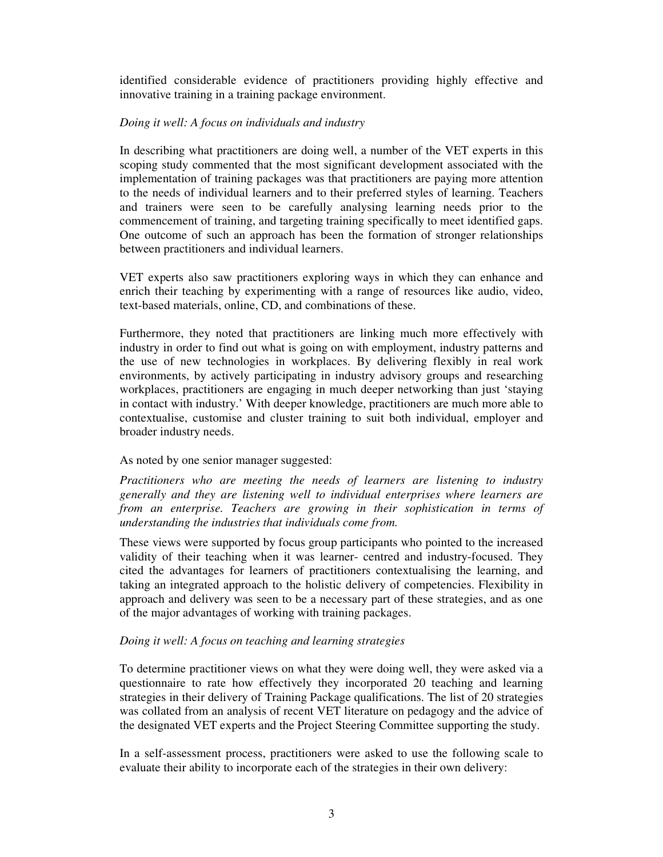identified considerable evidence of practitioners providing highly effective and innovative training in a training package environment.

#### *Doing it well: A focus on individuals and industry*

In describing what practitioners are doing well, a number of the VET experts in this scoping study commented that the most significant development associated with the implementation of training packages was that practitioners are paying more attention to the needs of individual learners and to their preferred styles of learning. Teachers and trainers were seen to be carefully analysing learning needs prior to the commencement of training, and targeting training specifically to meet identified gaps. One outcome of such an approach has been the formation of stronger relationships between practitioners and individual learners.

VET experts also saw practitioners exploring ways in which they can enhance and enrich their teaching by experimenting with a range of resources like audio, video, text-based materials, online, CD, and combinations of these.

Furthermore, they noted that practitioners are linking much more effectively with industry in order to find out what is going on with employment, industry patterns and the use of new technologies in workplaces. By delivering flexibly in real work environments, by actively participating in industry advisory groups and researching workplaces, practitioners are engaging in much deeper networking than just 'staying in contact with industry.' With deeper knowledge, practitioners are much more able to contextualise, customise and cluster training to suit both individual, employer and broader industry needs.

# As noted by one senior manager suggested:

*Practitioners who are meeting the needs of learners are listening to industry generally and they are listening well to individual enterprises where learners are from an enterprise. Teachers are growing in their sophistication in terms of understanding the industries that individuals come from.*

These views were supported by focus group participants who pointed to the increased validity of their teaching when it was learner- centred and industry-focused. They cited the advantages for learners of practitioners contextualising the learning, and taking an integrated approach to the holistic delivery of competencies. Flexibility in approach and delivery was seen to be a necessary part of these strategies, and as one of the major advantages of working with training packages.

# *Doing it well: A focus on teaching and learning strategies*

To determine practitioner views on what they were doing well, they were asked via a questionnaire to rate how effectively they incorporated 20 teaching and learning strategies in their delivery of Training Package qualifications. The list of 20 strategies was collated from an analysis of recent VET literature on pedagogy and the advice of the designated VET experts and the Project Steering Committee supporting the study.

In a self-assessment process, practitioners were asked to use the following scale to evaluate their ability to incorporate each of the strategies in their own delivery: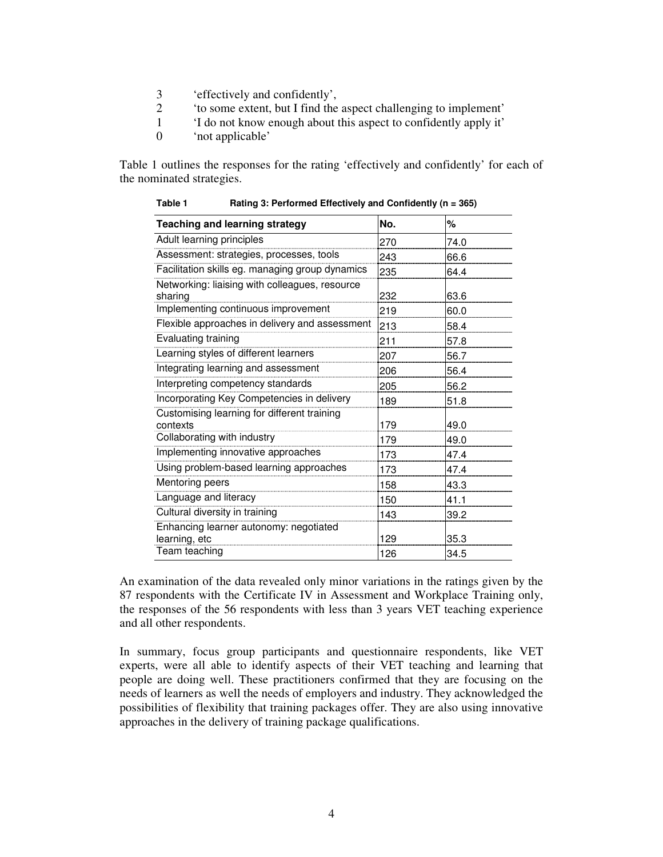- 3 'effectively and confidently',
- 2 'to some extent, but I find the aspect challenging to implement'
- 1 'I do not know enough about this aspect to confidently apply it'
- 0 'not applicable'

Table 1 outlines the responses for the rating 'effectively and confidently' for each of the nominated strategies.

| <b>Teaching and learning strategy</b>                     | No. | ℅    |
|-----------------------------------------------------------|-----|------|
| Adult learning principles                                 | 270 | 74.0 |
| Assessment: strategies, processes, tools                  | 243 | 66.6 |
| Facilitation skills eg. managing group dynamics           | 235 | 64.4 |
| Networking: liaising with colleagues, resource<br>sharing | 232 | 63.6 |
| Implementing continuous improvement                       | 219 | 60.0 |
| Flexible approaches in delivery and assessment            | 213 | 58.4 |
| Evaluating training                                       | 211 | 57.8 |
| Learning styles of different learners                     | 207 | 56.7 |
| Integrating learning and assessment                       | 206 | 56.4 |
| Interpreting competency standards                         | 205 | 56.2 |
| Incorporating Key Competencies in delivery                | 189 | 51.8 |
| Customising learning for different training<br>contexts   | 179 | 49.0 |
| Collaborating with industry                               | 179 | 49.0 |
| Implementing innovative approaches                        | 173 | 47.4 |
| Using problem-based learning approaches                   | 173 | 47.4 |
| Mentoring peers                                           | 158 | 43.3 |
| Language and literacy                                     | 150 | 41.1 |
| Cultural diversity in training                            | 143 | 39.2 |
| Enhancing learner autonomy: negotiated<br>learning, etc   | 129 | 35.3 |
| Team teaching                                             | 126 | 34.5 |

**Table 1 Rating 3: Performed Effectively and Confidently (n = 365)**

An examination of the data revealed only minor variations in the ratings given by the 87 respondents with the Certificate IV in Assessment and Workplace Training only, the responses of the 56 respondents with less than 3 years VET teaching experience and all other respondents.

In summary, focus group participants and questionnaire respondents, like VET experts, were all able to identify aspects of their VET teaching and learning that people are doing well. These practitioners confirmed that they are focusing on the needs of learners as well the needs of employers and industry. They acknowledged the possibilities of flexibility that training packages offer. They are also using innovative approaches in the delivery of training package qualifications.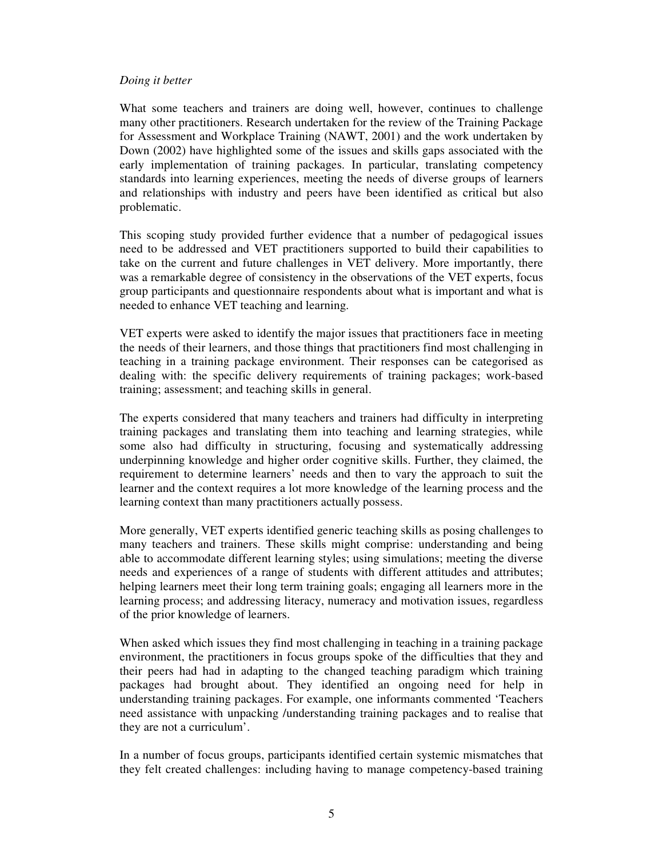#### *Doing it better*

What some teachers and trainers are doing well, however, continues to challenge many other practitioners. Research undertaken for the review of the Training Package for Assessment and Workplace Training (NAWT, 2001) and the work undertaken by Down (2002) have highlighted some of the issues and skills gaps associated with the early implementation of training packages. In particular, translating competency standards into learning experiences, meeting the needs of diverse groups of learners and relationships with industry and peers have been identified as critical but also problematic.

This scoping study provided further evidence that a number of pedagogical issues need to be addressed and VET practitioners supported to build their capabilities to take on the current and future challenges in VET delivery. More importantly, there was a remarkable degree of consistency in the observations of the VET experts, focus group participants and questionnaire respondents about what is important and what is needed to enhance VET teaching and learning.

VET experts were asked to identify the major issues that practitioners face in meeting the needs of their learners, and those things that practitioners find most challenging in teaching in a training package environment. Their responses can be categorised as dealing with: the specific delivery requirements of training packages; work-based training; assessment; and teaching skills in general.

The experts considered that many teachers and trainers had difficulty in interpreting training packages and translating them into teaching and learning strategies, while some also had difficulty in structuring, focusing and systematically addressing underpinning knowledge and higher order cognitive skills. Further, they claimed, the requirement to determine learners' needs and then to vary the approach to suit the learner and the context requires a lot more knowledge of the learning process and the learning context than many practitioners actually possess.

More generally, VET experts identified generic teaching skills as posing challenges to many teachers and trainers. These skills might comprise: understanding and being able to accommodate different learning styles; using simulations; meeting the diverse needs and experiences of a range of students with different attitudes and attributes; helping learners meet their long term training goals; engaging all learners more in the learning process; and addressing literacy, numeracy and motivation issues, regardless of the prior knowledge of learners.

When asked which issues they find most challenging in teaching in a training package environment, the practitioners in focus groups spoke of the difficulties that they and their peers had had in adapting to the changed teaching paradigm which training packages had brought about. They identified an ongoing need for help in understanding training packages. For example, one informants commented 'Teachers need assistance with unpacking /understanding training packages and to realise that they are not a curriculum'.

In a number of focus groups, participants identified certain systemic mismatches that they felt created challenges: including having to manage competency-based training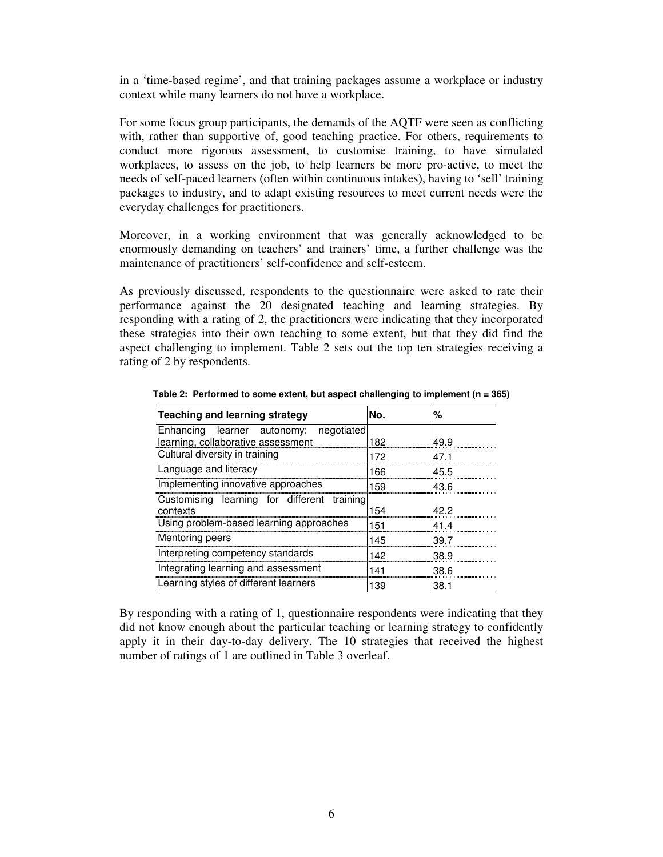in a 'time-based regime', and that training packages assume a workplace or industry context while many learners do not have a workplace.

For some focus group participants, the demands of the AQTF were seen as conflicting with, rather than supportive of, good teaching practice. For others, requirements to conduct more rigorous assessment, to customise training, to have simulated workplaces, to assess on the job, to help learners be more pro-active, to meet the needs of self-paced learners (often within continuous intakes), having to 'sell' training packages to industry, and to adapt existing resources to meet current needs were the everyday challenges for practitioners.

Moreover, in a working environment that was generally acknowledged to be enormously demanding on teachers' and trainers' time, a further challenge was the maintenance of practitioners' self-confidence and self-esteem.

As previously discussed, respondents to the questionnaire were asked to rate their performance against the 20 designated teaching and learning strategies. By responding with a rating of 2, the practitioners were indicating that they incorporated these strategies into their own teaching to some extent, but that they did find the aspect challenging to implement. Table 2 sets out the top ten strategies receiving a rating of 2 by respondents.

| <b>Teaching and learning strategy</b>       | No. | %    |
|---------------------------------------------|-----|------|
| Enhancing learner autonomy: negotiated      |     |      |
| learning, collaborative assessment          | 182 | 49.9 |
| Cultural diversity in training              | 172 | 47.1 |
| Language and literacy                       | 166 | 45.5 |
| Implementing innovative approaches          | 159 | 43.6 |
| Customising learning for different training |     |      |
| contexts                                    | 154 | 42 2 |
| Using problem-based learning approaches     | 151 | 414  |
| Mentoring peers                             | 145 | 39.7 |
| Interpreting competency standards           | 142 | 38.9 |
| Integrating learning and assessment         | 141 | 38.6 |
| Learning styles of different learners       | 139 | 38.1 |

**Table 2: Performed to some extent, but aspect challenging to implement (n = 365)**

By responding with a rating of 1, questionnaire respondents were indicating that they did not know enough about the particular teaching or learning strategy to confidently apply it in their day-to-day delivery. The 10 strategies that received the highest number of ratings of 1 are outlined in Table 3 overleaf.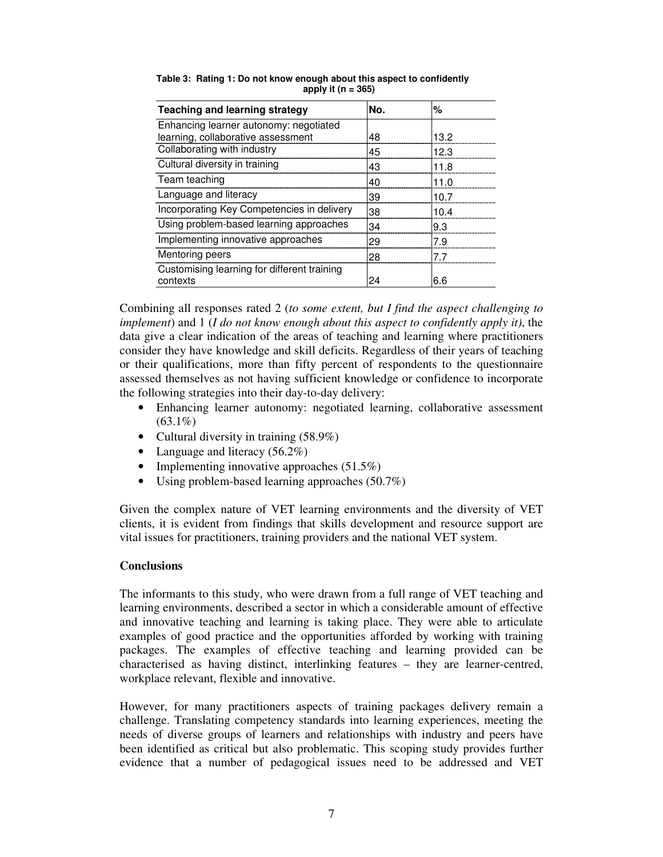| <b>Teaching and learning strategy</b>                   | No. | %    |
|---------------------------------------------------------|-----|------|
| Enhancing learner autonomy: negotiated                  |     |      |
| learning, collaborative assessment                      | 48  | 13.2 |
| Collaborating with industry                             | 45  | 12.3 |
| Cultural diversity in training                          | 43  | 11.8 |
| Team teaching                                           | 40  | 11 N |
| Language and literacy                                   | 39  | 10 7 |
| Incorporating Key Competencies in delivery              | 38  | 10 4 |
| Using problem-based learning approaches                 | 34  | 9.3  |
| Implementing innovative approaches                      | 29  | 79   |
| Mentoring peers                                         | 28  |      |
| Customising learning for different training<br>contexts | 24  | 6.6  |

**Table 3: Rating 1: Do not know enough about this aspect to confidently apply it (n = 365)**

Combining all responses rated 2 (*to some extent, but I find the aspect challenging to implement*) and 1 (*I do not know enough about this aspect to confidently apply it)*, the data give a clear indication of the areas of teaching and learning where practitioners consider they have knowledge and skill deficits. Regardless of their years of teaching or their qualifications, more than fifty percent of respondents to the questionnaire assessed themselves as not having sufficient knowledge or confidence to incorporate the following strategies into their day-to-day delivery:

- Enhancing learner autonomy: negotiated learning, collaborative assessment  $(63.1\%)$
- Cultural diversity in training (58.9%)
- Language and literacy (56.2%)
- Implementing innovative approaches  $(51.5\%)$
- Using problem-based learning approaches (50.7%)

Given the complex nature of VET learning environments and the diversity of VET clients, it is evident from findings that skills development and resource support are vital issues for practitioners, training providers and the national VET system.

# **Conclusions**

The informants to this study, who were drawn from a full range of VET teaching and learning environments, described a sector in which a considerable amount of effective and innovative teaching and learning is taking place. They were able to articulate examples of good practice and the opportunities afforded by working with training packages. The examples of effective teaching and learning provided can be characterised as having distinct, interlinking features – they are learner-centred, workplace relevant, flexible and innovative.

However, for many practitioners aspects of training packages delivery remain a challenge. Translating competency standards into learning experiences, meeting the needs of diverse groups of learners and relationships with industry and peers have been identified as critical but also problematic. This scoping study provides further evidence that a number of pedagogical issues need to be addressed and VET